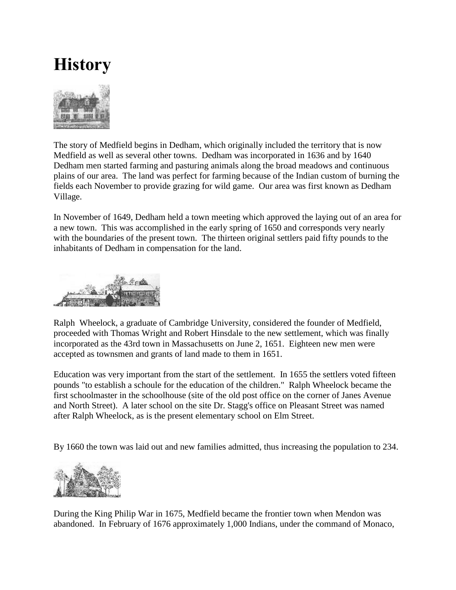## **History**



The story of Medfield begins in Dedham, which originally included the territory that is now Medfield as well as several other towns. Dedham was incorporated in 1636 and by 1640 Dedham men started farming and pasturing animals along the broad meadows and continuous plains of our area. The land was perfect for farming because of the Indian custom of burning the fields each November to provide grazing for wild game. Our area was first known as Dedham Village.

In November of 1649, Dedham held a town meeting which approved the laying out of an area for a new town. This was accomplished in the early spring of 1650 and corresponds very nearly with the boundaries of the present town. The thirteen original settlers paid fifty pounds to the inhabitants of Dedham in compensation for the land.



Ralph Wheelock, a graduate of Cambridge University, considered the founder of Medfield, proceeded with Thomas Wright and Robert Hinsdale to the new settlement, which was finally incorporated as the 43rd town in Massachusetts on June 2, 1651. Eighteen new men were accepted as townsmen and grants of land made to them in 1651.

Education was very important from the start of the settlement. In 1655 the settlers voted fifteen pounds "to establish a schoule for the education of the children." Ralph Wheelock became the first schoolmaster in the schoolhouse (site of the old post office on the corner of Janes Avenue and North Street). A later school on the site Dr. Stagg's office on Pleasant Street was named after Ralph Wheelock, as is the present elementary school on Elm Street.

By 1660 the town was laid out and new families admitted, thus increasing the population to 234.



During the King Philip War in 1675, Medfield became the frontier town when Mendon was abandoned. In February of 1676 approximately 1,000 Indians, under the command of Monaco,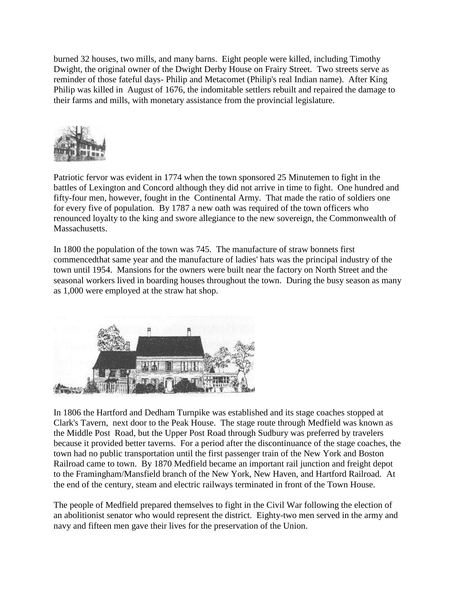burned 32 houses, two mills, and many barns. Eight people were killed, including Timothy Dwight, the original owner of the Dwight Derby House on Frairy Street. Two streets serve as reminder of those fateful days- Philip and Metacomet (Philip's real Indian name). After King Philip was killed in August of 1676, the indomitable settlers rebuilt and repaired the damage to their farms and mills, with monetary assistance from the provincial legislature.



Patriotic fervor was evident in 1774 when the town sponsored 25 Minutemen to fight in the battles of Lexington and Concord although they did not arrive in time to fight. One hundred and fifty-four men, however, fought in the Continental Army. That made the ratio of soldiers one for every five of population. By 1787 a new oath was required of the town officers who renounced loyalty to the king and swore allegiance to the new sovereign, the Commonwealth of Massachusetts.

In 1800 the population of the town was 745. The manufacture of straw bonnets first commencedthat same year and the manufacture of ladies' hats was the principal industry of the town until 1954. Mansions for the owners were built near the factory on North Street and the seasonal workers lived in boarding houses throughout the town. During the busy season as many as 1,000 were employed at the straw hat shop.



In 1806 the Hartford and Dedham Turnpike was established and its stage coaches stopped at Clark's Tavern, next door to the Peak House. The stage route through Medfield was known as the Middle Post Road, but the Upper Post Road through Sudbury was preferred by travelers because it provided better taverns. For a period after the discontinuance of the stage coaches, the town had no public transportation until the first passenger train of the New York and Boston Railroad came to town. By 1870 Medfield became an important rail junction and freight depot to the Framingham/Mansfield branch of the New York, New Haven, and Hartford Railroad. At the end of the century, steam and electric railways terminated in front of the Town House.

The people of Medfield prepared themselves to fight in the Civil War following the election of an abolitionist senator who would represent the district. Eighty-two men served in the army and navy and fifteen men gave their lives for the preservation of the Union.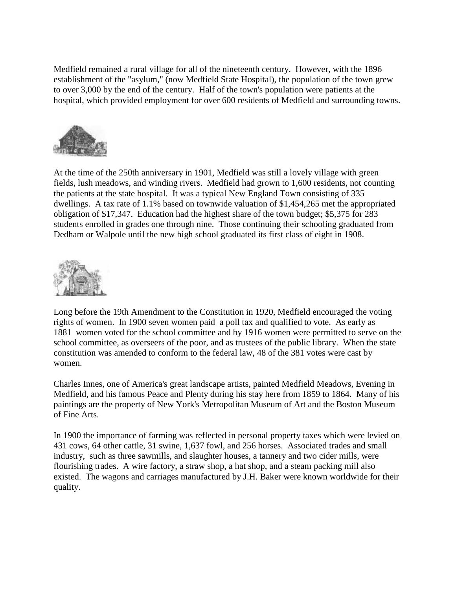Medfield remained a rural village for all of the nineteenth century. However, with the 1896 establishment of the "asylum," (now Medfield State Hospital), the population of the town grew to over 3,000 by the end of the century. Half of the town's population were patients at the hospital, which provided employment for over 600 residents of Medfield and surrounding towns.



At the time of the 250th anniversary in 1901, Medfield was still a lovely village with green fields, lush meadows, and winding rivers. Medfield had grown to 1,600 residents, not counting the patients at the state hospital. It was a typical New England Town consisting of 335 dwellings. A tax rate of 1.1% based on townwide valuation of \$1,454,265 met the appropriated obligation of \$17,347. Education had the highest share of the town budget; \$5,375 for 283 students enrolled in grades one through nine. Those continuing their schooling graduated from Dedham or Walpole until the new high school graduated its first class of eight in 1908.



Long before the 19th Amendment to the Constitution in 1920, Medfield encouraged the voting rights of women. In 1900 seven women paid a poll tax and qualified to vote. As early as 1881 women voted for the school committee and by 1916 women were permitted to serve on the school committee, as overseers of the poor, and as trustees of the public library. When the state constitution was amended to conform to the federal law, 48 of the 381 votes were cast by women.

Charles Innes, one of America's great landscape artists, painted Medfield Meadows, Evening in Medfield, and his famous Peace and Plenty during his stay here from 1859 to 1864. Many of his paintings are the property of New York's Metropolitan Museum of Art and the Boston Museum of Fine Arts.

In 1900 the importance of farming was reflected in personal property taxes which were levied on 431 cows, 64 other cattle, 31 swine, 1,637 fowl, and 256 horses. Associated trades and small industry, such as three sawmills, and slaughter houses, a tannery and two cider mills, were flourishing trades. A wire factory, a straw shop, a hat shop, and a steam packing mill also existed. The wagons and carriages manufactured by J.H. Baker were known worldwide for their quality.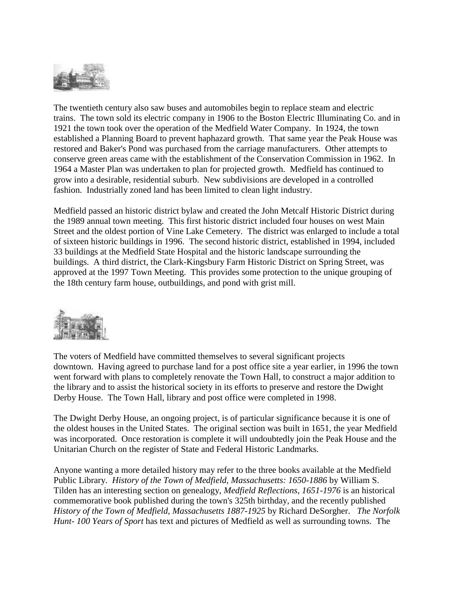

The twentieth century also saw buses and automobiles begin to replace steam and electric trains. The town sold its electric company in 1906 to the Boston Electric Illuminating Co. and in 1921 the town took over the operation of the Medfield Water Company. In 1924, the town established a Planning Board to prevent haphazard growth. That same year the Peak House was restored and Baker's Pond was purchased from the carriage manufacturers. Other attempts to conserve green areas came with the establishment of the Conservation Commission in 1962. In 1964 a Master Plan was undertaken to plan for projected growth. Medfield has continued to grow into a desirable, residential suburb. New subdivisions are developed in a controlled fashion. Industrially zoned land has been limited to clean light industry.

Medfield passed an historic district bylaw and created the John Metcalf Historic District during the 1989 annual town meeting. This first historic district included four houses on west Main Street and the oldest portion of Vine Lake Cemetery. The district was enlarged to include a total of sixteen historic buildings in 1996. The second historic district, established in 1994, included 33 buildings at the Medfield State Hospital and the historic landscape surrounding the buildings. A third district, the Clark-Kingsbury Farm Historic District on Spring Street, was approved at the 1997 Town Meeting. This provides some protection to the unique grouping of the 18th century farm house, outbuildings, and pond with grist mill.



The voters of Medfield have committed themselves to several significant projects downtown. Having agreed to purchase land for a post office site a year earlier, in 1996 the town went forward with plans to completely renovate the Town Hall, to construct a major addition to the library and to assist the historical society in its efforts to preserve and restore the Dwight Derby House. The Town Hall, library and post office were completed in 1998.

The Dwight Derby House, an ongoing project, is of particular significance because it is one of the oldest houses in the United States. The original section was built in 1651, the year Medfield was incorporated. Once restoration is complete it will undoubtedly join the Peak House and the Unitarian Church on the register of State and Federal Historic Landmarks.

Anyone wanting a more detailed history may refer to the three books available at the Medfield Public Library. *History of the Town of Medfield, Massachusetts: 1650-1886* by William S. Tilden has an interesting section on genealogy, *Medfield Reflections, 1651-1976* is an historical commemorative book published during the town's 325th birthday, and the recently published *History of the Town of Medfield, Massachusetts 1887-1925* by Richard DeSorgher. *The Norfolk Hunt- 100 Years of Sport* has text and pictures of Medfield as well as surrounding towns. The